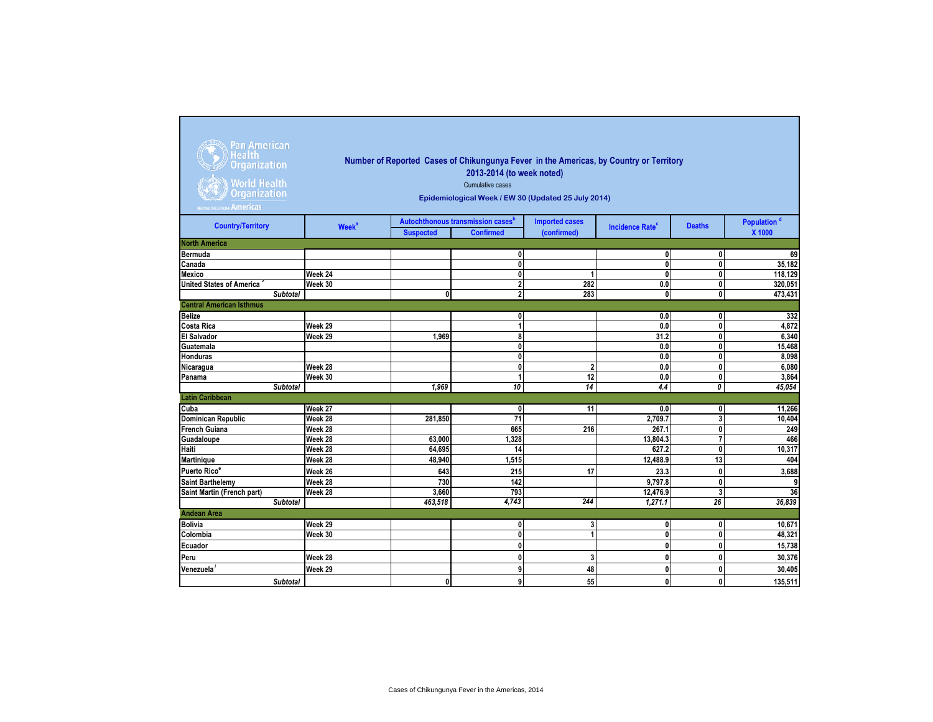| Pan American<br>Health <b>I</b><br><b>Organization</b><br><b>World Health</b><br><b>Organization</b><br>REGIONAL OFFICE FOR THE Americas | Number of Reported Cases of Chikungunya Fever in the Americas, by Country or Territory<br>2013-2014 (to week noted)<br><b>Cumulative cases</b><br>Epidemiological Week / EW 30 (Updated 25 July 2014) |                  |                                                                   |                                      |                                   |                         |                                   |  |  |  |  |  |  |
|------------------------------------------------------------------------------------------------------------------------------------------|-------------------------------------------------------------------------------------------------------------------------------------------------------------------------------------------------------|------------------|-------------------------------------------------------------------|--------------------------------------|-----------------------------------|-------------------------|-----------------------------------|--|--|--|--|--|--|
| <b>Country/Territory</b>                                                                                                                 | Week <sup>a</sup>                                                                                                                                                                                     | <b>Suspected</b> | Autochthonous transmission cases <sup>b</sup><br><b>Confirmed</b> | <b>Imported cases</b><br>(confirmed) | <b>Incidence Rate<sup>c</sup></b> | <b>Deaths</b>           | Population <sup>d</sup><br>X 1000 |  |  |  |  |  |  |
| <b>North America</b>                                                                                                                     |                                                                                                                                                                                                       |                  |                                                                   |                                      |                                   |                         |                                   |  |  |  |  |  |  |
| Bermuda                                                                                                                                  |                                                                                                                                                                                                       |                  | $\mathbf{0}$                                                      |                                      | 0                                 | 0                       | 69                                |  |  |  |  |  |  |
| Canada                                                                                                                                   |                                                                                                                                                                                                       |                  | $\mathbf{0}$                                                      |                                      | $\mathbf{0}$                      | 0                       | 35,182                            |  |  |  |  |  |  |
| Mexico                                                                                                                                   | Week 24                                                                                                                                                                                               |                  | $\mathbf{0}$                                                      | 1                                    | 0                                 | $\mathbf{0}$            | 118,129                           |  |  |  |  |  |  |
| <b>United States of America</b>                                                                                                          | Week 30                                                                                                                                                                                               |                  | $\overline{\mathbf{2}}$                                           | 282                                  | 0.0                               | $\overline{\mathbf{0}}$ | 320,051                           |  |  |  |  |  |  |
| <b>Subtotal</b>                                                                                                                          |                                                                                                                                                                                                       | 0                | $\overline{\mathbf{2}}$                                           | 283                                  | 0                                 | $\overline{\mathbf{0}}$ | 473,431                           |  |  |  |  |  |  |
| <b>Central American Isthmus</b>                                                                                                          |                                                                                                                                                                                                       |                  |                                                                   |                                      |                                   |                         |                                   |  |  |  |  |  |  |
| <b>Belize</b>                                                                                                                            |                                                                                                                                                                                                       |                  | 0                                                                 |                                      | 0.0                               | 0                       | 332                               |  |  |  |  |  |  |
| <b>Costa Rica</b>                                                                                                                        | Week 29                                                                                                                                                                                               |                  | 1                                                                 |                                      | 0.0                               | 0                       | 4,872                             |  |  |  |  |  |  |
| <b>El Salvador</b>                                                                                                                       | Week 29                                                                                                                                                                                               | 1.969            | 8                                                                 |                                      | 31.2                              | 0                       | 6,340                             |  |  |  |  |  |  |
| Guatemala                                                                                                                                |                                                                                                                                                                                                       |                  | $\mathbf{0}$                                                      |                                      | 0.0                               | $\mathbf{0}$            | 15,468                            |  |  |  |  |  |  |
| <b>Honduras</b>                                                                                                                          |                                                                                                                                                                                                       |                  | $\mathbf{0}$                                                      |                                      | 0.0                               | 0                       | 8,098                             |  |  |  |  |  |  |
| Nicaragua                                                                                                                                | Week 28                                                                                                                                                                                               |                  | $\mathbf{0}$                                                      | $\overline{2}$                       | 0.0                               | $\mathbf{0}$            | 6,080                             |  |  |  |  |  |  |
| Panama                                                                                                                                   | Week 30                                                                                                                                                                                               |                  | 4                                                                 | 12                                   | 0.0                               | $\mathbf{0}$            | 3,864                             |  |  |  |  |  |  |
| Subtotal                                                                                                                                 |                                                                                                                                                                                                       | 1.969            | 10                                                                | 14                                   | 4.4                               | 0                       | 45,054                            |  |  |  |  |  |  |
| <b>Latin Caribbean</b>                                                                                                                   |                                                                                                                                                                                                       |                  |                                                                   |                                      |                                   |                         |                                   |  |  |  |  |  |  |
| Cuba                                                                                                                                     | Week 27                                                                                                                                                                                               |                  | 0                                                                 | 11                                   | 0.0                               | 0                       | 11,266                            |  |  |  |  |  |  |
| <b>Dominican Republic</b>                                                                                                                | Week 28                                                                                                                                                                                               | 281,850          | 71                                                                |                                      | 2,709.7                           | 3                       | 10,404                            |  |  |  |  |  |  |
| <b>French Guiana</b>                                                                                                                     | Week 28                                                                                                                                                                                               |                  | 665                                                               | 216                                  | 267.1                             | $\pmb{0}$               | 249                               |  |  |  |  |  |  |
| Guadaloupe                                                                                                                               | Week 28                                                                                                                                                                                               | 63,000           | 1,328                                                             |                                      | 13,804.3                          | $\overline{7}$          | 466                               |  |  |  |  |  |  |
| Haiti                                                                                                                                    | Week 28                                                                                                                                                                                               | 64,695           | 14                                                                |                                      | 627.2                             | $\mathbf{0}$            | 10,317                            |  |  |  |  |  |  |
| <b>Martinique</b>                                                                                                                        | Week 28                                                                                                                                                                                               | 48.940           | 1.515                                                             |                                      | 12,488.9                          | 13                      | 404                               |  |  |  |  |  |  |
| Puerto Rico <sup>e</sup>                                                                                                                 | Week 26                                                                                                                                                                                               | 643              | 215                                                               | 17                                   | 23.3                              | 0                       | 3,688                             |  |  |  |  |  |  |
| <b>Saint Barthelemy</b>                                                                                                                  | Week 28                                                                                                                                                                                               | 730              | 142                                                               |                                      | 9.797.8                           | $\mathbf{0}$            | 9                                 |  |  |  |  |  |  |
| Saint Martin (French part)                                                                                                               | Week 28                                                                                                                                                                                               | 3,660            | 793                                                               |                                      | 12,476.9                          | 3                       | 36                                |  |  |  |  |  |  |
| <b>Subtotal</b>                                                                                                                          |                                                                                                                                                                                                       | 463,518          | 4,743                                                             | 244                                  | 1,271.1                           | 26                      | 36,839                            |  |  |  |  |  |  |
| <b>Andean Area</b>                                                                                                                       |                                                                                                                                                                                                       |                  |                                                                   |                                      |                                   |                         |                                   |  |  |  |  |  |  |
| <b>Bolivia</b>                                                                                                                           | Week 29                                                                                                                                                                                               |                  | 0                                                                 | 3                                    | 0                                 | 0                       | 10,671                            |  |  |  |  |  |  |
| Colombia                                                                                                                                 | Week 30                                                                                                                                                                                               |                  | $\mathbf{0}$                                                      | $\mathbf{1}$                         | $\mathbf{0}$                      | 0                       | 48,321                            |  |  |  |  |  |  |
| Ecuador                                                                                                                                  |                                                                                                                                                                                                       |                  | $\mathbf{0}$                                                      |                                      | 0                                 | 0                       | 15,738                            |  |  |  |  |  |  |
| Peru                                                                                                                                     | Week 28                                                                                                                                                                                               |                  | $\mathbf{0}$                                                      | 3                                    | $\mathbf{0}$                      | $\mathbf{0}$            | 30,376                            |  |  |  |  |  |  |
| Venezuela                                                                                                                                | Week 29                                                                                                                                                                                               |                  | 9                                                                 | 48                                   | 0                                 | 0                       | 30,405                            |  |  |  |  |  |  |
| Subtotal                                                                                                                                 |                                                                                                                                                                                                       | 0                | 9                                                                 | 55                                   | 0                                 | 0                       | 135,511                           |  |  |  |  |  |  |